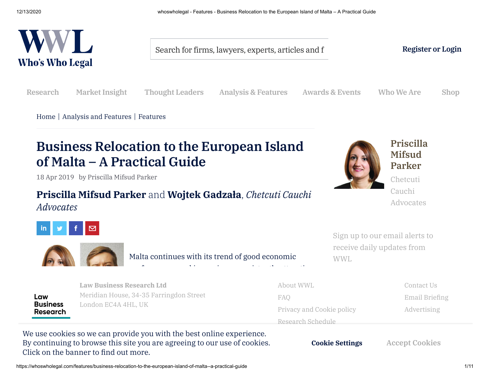

Search for firms, lawyers, experts, articles and f **Register or Login** 

**Research [Market](https://whoswholegal.com/market-insight) Insight Thought Leaders Analysis & [Features](https://whoswholegal.com/analysis-and-features) Awards & Events Who We Are [Shop](http://shop.whoswholegal.com/)**

[Home](https://whoswholegal.com/home) | Analysis and [Features](https://whoswholegal.com/analysis-and-features) | [Features](https://whoswholegal.com/features)

# **Business Relocation to the European Island of Malta – A Practical Guide**

18 Apr 2019 by Priscilla Mifsud Parker

# **Priscilla Mifsud Parker** and **Wojtek Gadzała**, *Chetcuti Cauchi*

*Advocates*



Malta continues with its trend of good economic

performance, and is proving a constraint attractive and is proving a constraint attractive  $\sigma$ 



**[Priscilla](https://whoswholegal.com/priscilla-mifsud-parker) Mifsud Parker**

Chetcuti Cauchi Advocates

Sign up to our email alerts to receive daily updates from WWL

Law **Business Research** 

location in which to conduct business. Malta's Meridian House, 34-35 Farringdon Street FAO in November 2018 alone, when compared with the compared with the compared with the compared with the compared with the compared with the compared with the compared with the compared with the compared with the compared with  $p_{\rm max}$ **Law [Business](https://lbrcontent.affino.com/AcuCustom/Sitename/DAM/010/who-35147-wide-18042019020414_Main.jpg) Research Ltd** London EC4A 4HL, UK

About WWL FAQ Email Briefing [Privacy](https://whoswholegal.com/privacy-and-cookie-policy) and Cookie policy **[Advertising](https://whoswholegal.com/who-we-are/advertising)** [Research](https://whoswholegal.com/who-we-are/research-schedule) Schedule

**Contact Us** 

 $\sim$  1.000 detection by 2019); this makes it this makes it the third largest increase in the EU. Malta largest in the EU. We use cookies so we can provide you will the best offine experience.<br>By continuing to browse this site you are agreeing to our use of cookies. **the manufacturing sector has a tensor of the manufacturing sector**  $\frac{1}{2}$  **both contracted to the banner to find out more.** We use cookies so we can provide you with the best online experience.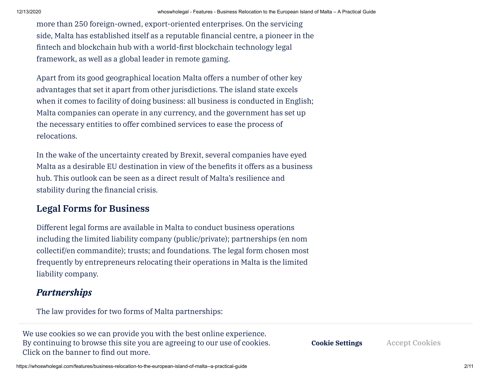more than 250 foreign-owned, export-oriented enterprises. On the servicing side, Malta has established itself as a reputable financial centre, a pioneer in the fintech and blockchain hub with a world-first blockchain technology legal framework, as well as a global leader in remote gaming.

Apart from its good geographical location Malta offers a number of other key advantages that set it apart from other jurisdictions. The island state excels when it comes to facility of doing business: all business is conducted in English; Malta companies can operate in any currency, and the government has set up the necessary entities to offer combined services to ease the process of relocations.

In the wake of the uncertainty created by Brexit, several companies have eyed Malta as a desirable EU destination in view of the benefits it offers as a business hub. This outlook can be seen as a direct result of Malta's resilience and stability during the financial crisis.

## **Legal Forms for Business**

Different legal forms are available in Malta to conduct business operations including the limited liability company (public/private); partnerships (en nom collectif/en commandite); trusts; and foundations. The legal form chosen most frequently by entrepreneurs relocating their operations in Malta is the limited liability company.

# *Partnerships*

The law provides for two forms of Malta partnerships:

a cookies so we can provide vou with the best online experience By continuing to browse this site you are agreeing to our use of cookies. We use cookies so we can provide you with the best online experience. **the** Click on the banner to find out more.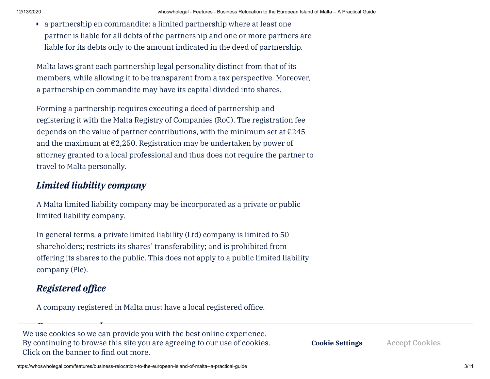a partnership en commandite: a limited partnership where at least one partner is liable for all debts of the partnership and one or more partners are liable for its debts only to the amount indicated in the deed of partnership.

Malta laws grant each partnership legal personality distinct from that of its members, while allowing it to be transparent from a tax perspective. Moreover, a partnership en commandite may have its capital divided into shares.

Forming a partnership requires executing a deed of partnership and registering it with the Malta Registry of Companies (RoC). The registration fee depends on the value of partner contributions, with the minimum set at  $\epsilon$ 245 and the maximum at  $\epsilon$ 2,250. Registration may be undertaken by power of attorney granted to a local professional and thus does not require the partner to travel to Malta personally.

#### *Limited liability company*

A Malta limited liability company may be incorporated as a private or public limited liability company.

In general terms, a private limited liability (Ltd) company is limited to 50 shareholders; restricts its shares' transferability; and is prohibited from offering its shares to the public. This does not apply to a public limited liability company (Plc).

# **Registered** *office*

A company registered in Malta must have a local registered office.

*Company members* We use cookies so we can provide you with the best online experience. **Australia's Migration Programme – An [unprecedented](https://whoswholegal.com/features/australias-migration-programme--an-unprecedented-commitment-to-managing-australias-borders) commitment** By continuing to browse this site you are agreeing to our use of cookies. **the** Click on the banner to find out more.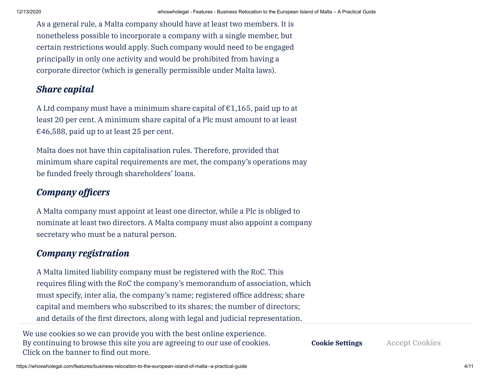As a general rule, a Malta company should have at least two members. It is nonetheless possible to incorporate a company with a single member, but certain restrictions would apply. Such company would need to be engaged principally in only one activity and would be prohibited from having a corporate director (which is generally permissible under Malta laws).

#### *Share capital*

A Ltd company must have a minimum share capital of  $\epsilon$ 1,165, paid up to at least 20 per cent. A minimum share capital of a Plc must amount to at least  $\epsilon$ 46,588, paid up to at least 25 per cent.

Malta does not have thin capitalisation rules. Therefore, provided that minimum share capital requirements are met, the company's operations may be funded freely through shareholders' loans.

# *Company officers*

A Malta company must appoint at least one director, while a Plc is obliged to nominate at least two directors. A Malta company must also appoint a company secretary who must be a natural person.

## *Company registration*

A Malta limited liability company must be registered with the RoC. This requires filing with the RoC the company's memorandum of association, which must specify, inter alia, the company's name; registered office address; share capital and members who subscribed to its shares; the number of directors; and details of the first directors, along with legal and judicial representation.

optional article of a provide with the best opline experience By continuing to browse this site you are agreeing to our use of cookies. Click on the banner to find out more. We use cookies so we can provide you with the best online experience.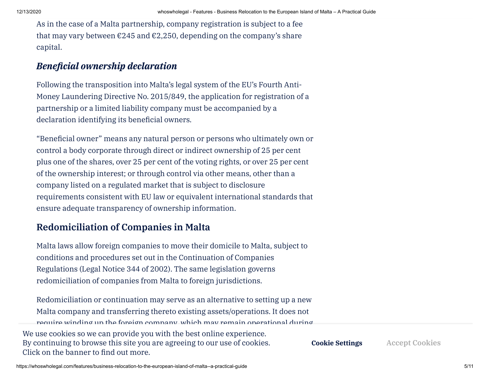As in the case of a Malta partnership, company registration is subject to a fee that may vary between  $\epsilon$ 245 and  $\epsilon$ 2,250, depending on the company's share capital.

#### *Beneficial ownership declaration*

Following the transposition into Malta's legal system of the EU's Fourth Anti-Money Laundering Directive No. 2015/849, the application for registration of a partnership or a limited liability company must be accompanied by a declaration identifying its beneficial owners.

"Beneficial owner" means any natural person or persons who ultimately own or control a body corporate through direct or indirect ownership of 25 per cent plus one of the shares, over 25 per cent of the voting rights, or over 25 per cent of the ownership interest; or through control via other means, other than a company listed on a regulated market that is subject to disclosure requirements consistent with EU law or equivalent international standards that ensure adequate transparency of ownership information.

# **Redomiciliation of Companies in Malta**

Malta laws allow foreign companies to move their domicile to Malta, subject to conditions and procedures set out in the Continuation of Companies Regulations (Legal Notice 344 of 2002). The same legislation governs redomiciliation of companies from Malta to foreign jurisdictions.

Redomiciliation or continuation may serve as an alternative to setting up a new Malta company and transferring thereto existing assets/operations. It does not require winding up the foreign company, which may remain operational during We use cookies so we can provide you with the best online experience. By continuing to browse this site you are agreeing to our use of cookies. **the** Click on the banner to find out more. **The [Recontextualisation](https://whoswholegal.com/features/the-recontextualisation-of-south-africas-immigration-system--a-journey-of-state-capture-and-possible-release) of South Africa's Immigration System – A Cookie Settings Accept Cookies**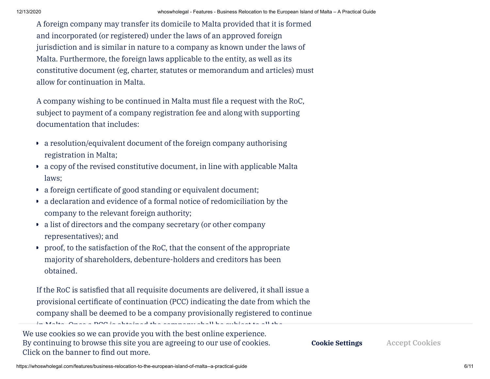A foreign company may transfer its domicile to Malta provided that it is formed and incorporated (or registered) under the laws of an approved foreign jurisdiction and is similar in nature to a company as known under the laws of Malta. Furthermore, the foreign laws applicable to the entity, as well as its constitutive document (eg, charter, statutes or memorandum and articles) must allow for continuation in Malta.

A company wishing to be continued in Malta must file a request with the RoC, subject to payment of a company registration fee and along with supporting documentation that includes:

- a resolution/equivalent document of the foreign company authorising registration in Malta;
- a copy of the revised constitutive document, in line with applicable Malta laws;
- a foreign certificate of good standing or equivalent document;
- a declaration and evidence of a formal notice of redomiciliation by the company to the relevant foreign authority;
- a list of directors and the company secretary (or other company representatives); and
- proof, to the satisfaction of the RoC, that the consent of the appropriate majority of shareholders, debenture-holders and creditors has been obtained.

in Malta. Once a PCC is obtained the company shall be subject to all the

If the RoC is satisfied that all requisite documents are delivered, it shall issue a provisional certificate of continuation (PCC) indicating the date from which the company shall be deemed to be a company provisionally registered to continue

obligations and capable [of exercising](https://whoswholegal.com/features/australias-migration-programme--an-unprecedented-commitment-to-managing-australias-borders) all the powers of a company registered Previous Article We use cookies so we can provide you with the best online experience. under the Companies Act. **to managing Australia's borders** Click on the banner to nd out more. **Australia's Migration Programme – An unprecedented commitment** By continuing to browse this site you are agreeing to our use of cookies.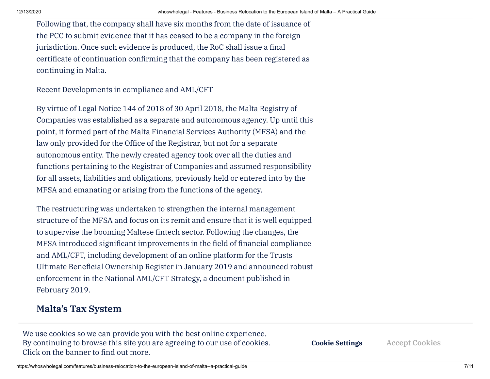Following that, the company shall have six months from the date of issuance of the PCC to submit evidence that it has ceased to be a company in the foreign jurisdiction. Once such evidence is produced, the RoC shall issue a final certificate of continuation confirming that the company has been registered as continuing in Malta.

Recent Developments in compliance and AML/CFT

By virtue of Legal Notice 144 of 2018 of 30 April 2018, the Malta Registry of Companies was established as a separate and autonomous agency. Up until this point, it formed part of the Malta Financial Services Authority (MFSA) and the law only provided for the Office of the Registrar, but not for a separate autonomous entity. The newly created agency took over all the duties and functions pertaining to the Registrar of Companies and assumed responsibility for all assets, liabilities and obligations, previously held or entered into by the MFSA and emanating or arising from the functions of the agency.

The restructuring was undertaken to strengthen the internal management structure of the MFSA and focus on its remit and ensure that it is well equipped to supervise the booming Maltese fintech sector. Following the changes, the MFSA introduced significant improvements in the field of financial compliance and AML/CFT, including development of an online platform for the Trusts Ultimate Beneficial Ownership Register in January 2019 and announced robust enforcement in the National AML/CFT Strategy, a document published in February 2019.

## **Malta's Tax System**

Companies resident and domiciled in Malta are taxed on their worldwide By continuing to browse this site you are agreeing to our use of cookies. **the local tax [system allows](https://whoswholegal.com/features/australias-migration-programme--an-unprecedented-commitment-to-managing-australias-borders) for deductions and**  $\alpha$  **and**  $\alpha$  **are proposed to the banner to find out more.** We use cookies so we can provide you with the best online experience.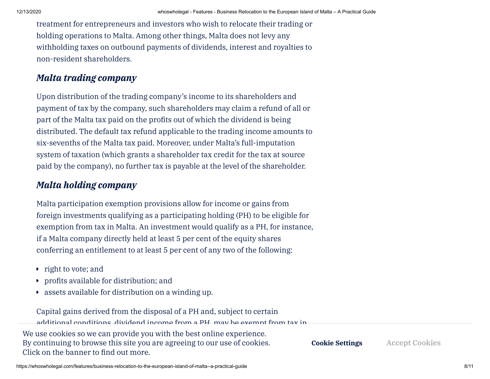treatment for entrepreneurs and investors who wish to relocate their trading or holding operations to Malta. Among other things, Malta does not levy any withholding taxes on outbound payments of dividends, interest and royalties to non-resident shareholders.

#### *Malta trading company*

Upon distribution of the trading company's income to its shareholders and payment of tax by the company, such shareholders may claim a refund of all or part of the Malta tax paid on the profits out of which the dividend is being distributed. The default tax refund applicable to the trading income amounts to six-sevenths of the Malta tax paid. Moreover, under Malta's full-imputation system of taxation (which grants a shareholder tax credit for the tax at source paid by the company), no further tax is payable at the level of the shareholder.

#### *Malta holding company*

Malta participation exemption provisions allow for income or gains from foreign investments qualifying as a participating holding (PH) to be eligible for exemption from tax in Malta. An investment would qualify as a PH, for instance, if a Malta company directly held at least 5 per cent of the equity shares conferring an entitlement to at least 5 per cent of any two of the following:

- right to vote; and
- profits available for distribution; and  $\blacksquare$
- assets available for distribution on a winding up.

Capital gains derived from the disposal of a PH and, subject to certain additional conditions, dividend income from a PH, may be exempt from tax in We use cookies so we can provide you with the best online experience. **Click on the banner to find out more. Australia's Migration Programme – An unprecedented commitment** By continuing to browse this site you are agreeing to our use of cookies. **The [Recontextualisation](https://whoswholegal.com/features/the-recontextualisation-of-south-africas-immigration-system--a-journey-of-state-capture-and-possible-release) of South Africa's Immigration System – A Cookie Settings Accept Cookies**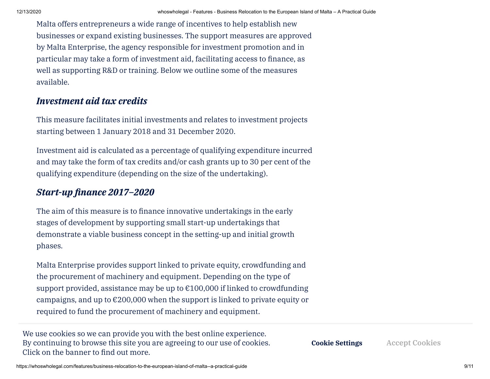Malta offers entrepreneurs a wide range of incentives to help establish new businesses or expand existing businesses. The support measures are approved by Malta Enterprise, the agency responsible for investment promotion and in particular may take a form of investment aid, facilitating access to finance, as well as supporting R&D or training. Below we outline some of the measures available.

#### *Investment aid tax credits*

This measure facilitates initial investments and relates to investment projects starting between 1 January 2018 and 31 December 2020.

Investment aid is calculated as a percentage of qualifying expenditure incurred and may take the form of tax credits and/or cash grants up to 30 per cent of the qualifying expenditure (depending on the size of the undertaking).

#### *Start-up nance 2017–2020*

The aim of this measure is to finance innovative undertakings in the early stages of development by supporting small start-up undertakings that demonstrate a viable business concept in the setting-up and initial growth phases.

Malta Enterprise provides support linked to private equity, crowdfunding and the procurement of machinery and equipment. Depending on the type of support provided, assistance may be up to  $\epsilon$ 100,000 if linked to crowdfunding campaigns, and up to €200,000 when the support is linked to private equity or required to fund the procurement of machinery and equipment.

We use cookies so we can provide you with the best online experience. **Australia's Migration Programme – An unprecedented commitment** By continuing to browse this site you are agreeing to our use of cookies. **the** Click on the banner to find out more.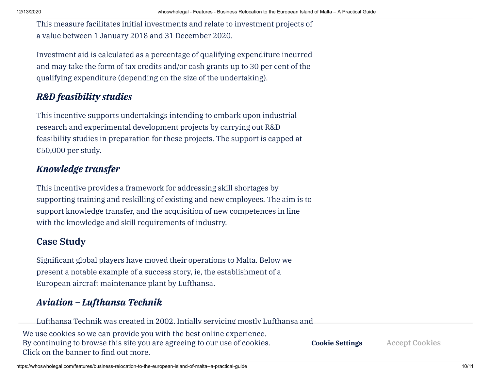This measure facilitates initial investments and relate to investment projects of a value between 1 January 2018 and 31 December 2020.

Investment aid is calculated as a percentage of qualifying expenditure incurred and may take the form of tax credits and/or cash grants up to 30 per cent of the qualifying expenditure (depending on the size of the undertaking).

## *R&D feasibility studies*

This incentive supports undertakings intending to embark upon industrial research and experimental development projects by carrying out R&D feasibility studies in preparation for these projects. The support is capped at  $€50,000$  per study.

## *Knowledge transfer*

This incentive provides a framework for addressing skill shortages by supporting training and reskilling of existing and new employees. The aim is to support knowledge transfer, and the acquisition of new competences in line with the knowledge and skill requirements of industry.

## **Case Study**

Significant global players have moved their operations to Malta. Below we present a notable example of a success story, ie, the establishment of a European aircraft maintenance plant by Lufthansa.

# *Aviation – Lufthansa Technik*

Lufthansa Technik was created in 2002. Intially servicing mostly Lufthansa and

We use cookies so we can provide you with the best online experience. By continuing to browse this site you are agreeing to our use of cookies. **the** Click on the banner to find out more.